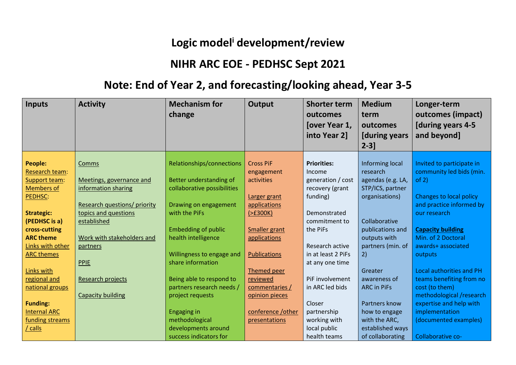## **Logic model<sup>i</sup> development/review**

## **NIHR ARC EOE - PEDHSC Sept 2021**

## **Note: End of Year 2, and forecasting/looking ahead, Year 3-5**

| <b>Inputs</b>       | <b>Activity</b>              | <b>Mechanism for</b>        | Output               | <b>Shorter term</b> | <b>Medium</b>        | Longer-term                    |
|---------------------|------------------------------|-----------------------------|----------------------|---------------------|----------------------|--------------------------------|
|                     |                              | change                      |                      | outcomes            | term                 | outcomes (impact)              |
|                     |                              |                             |                      | [over Year 1,       | outcomes             | [during years 4-5              |
|                     |                              |                             |                      | into Year 2]        | <b>[during years</b> | and beyond]                    |
|                     |                              |                             |                      |                     | $2 - 3$ ]            |                                |
|                     |                              |                             |                      |                     |                      |                                |
| <b>People:</b>      | Comms                        | Relationships/connections   | <b>Cross PiF</b>     | <b>Priorities:</b>  | Informing local      | Invited to participate in      |
| Research team:      |                              |                             | engagement           | Income              | research             | community led bids (min.       |
| Support team:       | Meetings, governance and     | Better understanding of     | activities           | generation / cost   | agendas (e.g. LA,    | of 2)                          |
| <b>Members of</b>   | information sharing          | collaborative possibilities |                      | recovery (grant     | STP/ICS, partner     |                                |
| PEDHSC:             |                              |                             | Larger grant         | funding)            | organisations)       | <b>Changes to local policy</b> |
|                     | Research questions/ priority | Drawing on engagement       | applications         |                     |                      | and practice informed by       |
| <b>Strategic:</b>   | topics and questions         | with the PiFs               | $(>=500K)$           | Demonstrated        |                      | our research                   |
| (PEDHSC is a)       | established                  |                             |                      | commitment to       | Collaborative        |                                |
| cross-cutting       |                              | <b>Embedding of public</b>  | <b>Smaller grant</b> | the PiFs            | publications and     | <b>Capacity building</b>       |
| <b>ARC theme</b>    | Work with stakeholders and   | health intelligence         | applications         |                     | outputs with         | Min. of 2 Doctoral             |
| Links with other    | partners                     |                             |                      | Research active     | partners (min. of    | awards+ associated             |
| <b>ARC themes</b>   |                              | Willingness to engage and   | <b>Publications</b>  | in at least 2 PiFs  | 2)                   | outputs                        |
|                     | <b>PPIE</b>                  | share information           |                      | at any one time     |                      |                                |
| Links with          |                              |                             | Themed peer          |                     | Greater              | Local authorities and PH       |
| regional and        | Research projects            | Being able to respond to    | reviewed             | PiF involvement     | awareness of         | teams benefiting from no       |
| national groups     |                              | partners research needs /   | commentaries /       | in ARC led bids     | <b>ARC in PiFs</b>   | cost (to them)                 |
|                     | <b>Capacity building</b>     | project requests            | opinion pieces       |                     |                      | methodological /research       |
| <b>Funding:</b>     |                              |                             |                      | Closer              | Partners know        | expertise and help with        |
| <b>Internal ARC</b> |                              | <b>Engaging in</b>          | conference / other   | partnership         | how to engage        | implementation                 |
| funding streams     |                              | methodological              | presentations        | working with        | with the ARC,        | (documented examples)          |
| calls               |                              | developments around         |                      | local public        | established ways     |                                |
|                     |                              | success indicators for      |                      | health teams        | of collaborating     | Collaborative co-              |